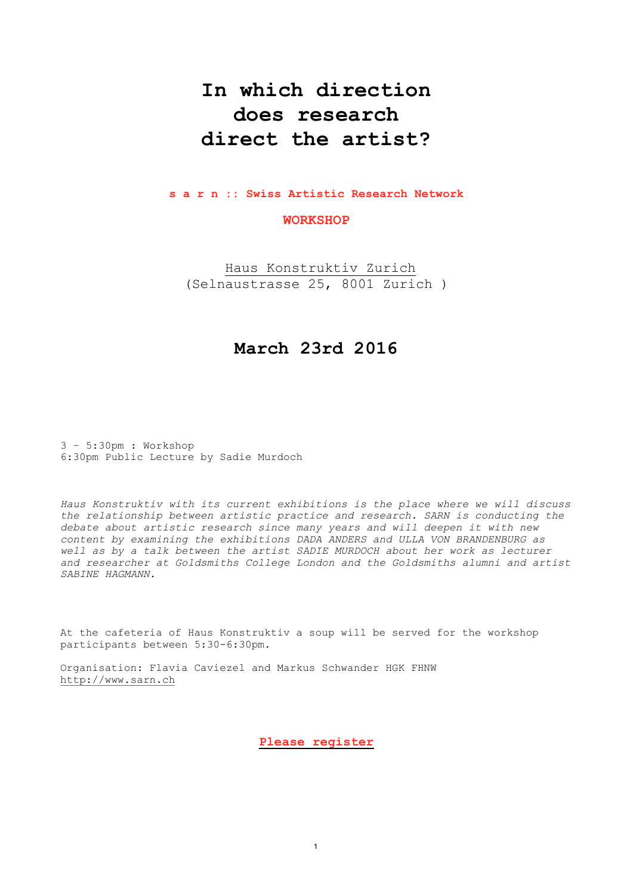# **In which direction does research direct the artist?**

#### **s a r n :: Swiss Artistic Research Network**

### **WORKSHOP**

[Haus Konstruktiv Zurich](http://www.apple.fr) (Selnaustrasse 25, 8001 Zurich )

## **March 23rd 2016**

3 – 5:30pm : Workshop 6:30pm Public Lecture by Sadie Murdoch

*Haus Konstruktiv with its current exhibitions is the place where we will discuss the relationship between artistic practice and research. SARN is conducting the debate about artistic research since many years and will deepen it with new content by examining the exhibitions DADA ANDERS and ULLA VON BRANDENBURG as well as by a talk between the artist SADIE MURDOCH about her work as lecturer and researcher at Goldsmiths College London and the Goldsmiths alumni and artist SABINE HAGMANN.* 

At the cafeteria of Haus Konstruktiv a soup will be served for the workshop participants between 5:30-6:30pm.

Organisation: Flavia Caviezel and Markus Schwander HGK FHNW [http://www.sarn.ch](http://www.sarn.ch/)

**[Please register](http://www.apple.fr)**